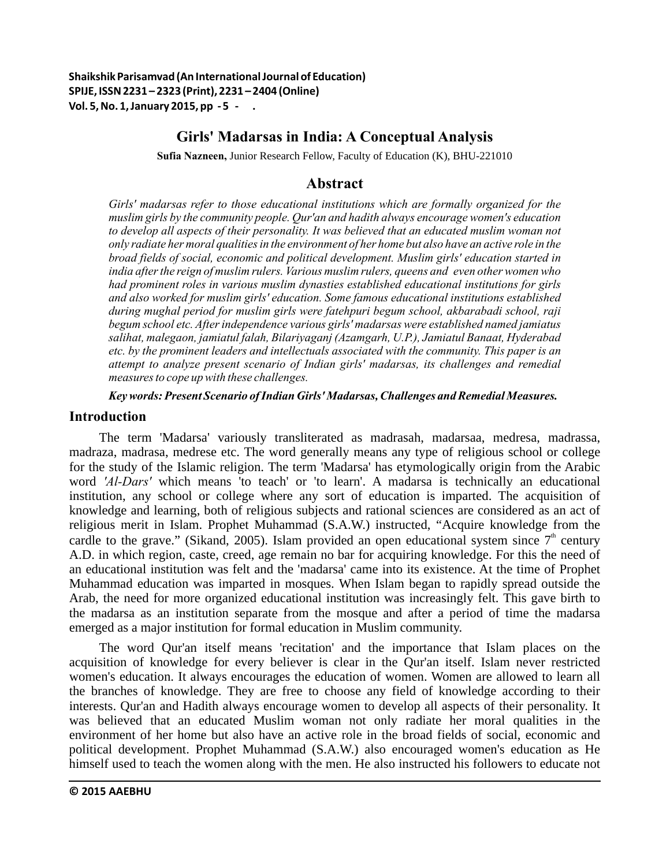**Shaikshik Parisamvad (An International Journal of Education) SPIJE, ISSN 2231 – 2323 (Print), 2231 – 2404 (Online) Vol. 5, No. 1, January 2015, pp - 58-66 .**

# **Girls' Madarsas in India: A Conceptual Analysis**

**Sufia Nazneen,** Junior Research Fellow, Faculty of Education (K), BHU-221010

## **Abstract**

*Girls' madarsas refer to those educational institutions which are formally organized for the muslim girls by the community people. Qur'an and hadith always encourage women's education to develop all aspects of their personality. It was believed that an educated muslim woman not only radiate her moral qualities in the environment of her home but also have an active role in the broad fields of social, economic and political development. Muslim girls' education started in india after the reign of muslim rulers. Various muslim rulers, queens and even other women who had prominent roles in various muslim dynasties established educational institutions for girls and also worked for muslim girls' education. Some famous educational institutions established during mughal period for muslim girls were fatehpuri begum school, akbarabadi school, raji begum school etc. After independence various girls' madarsas were established named jamiatus salihat, malegaon, jamiatul falah, Bilariyaganj (Azamgarh, U.P.), Jamiatul Banaat, Hyderabad etc. by the prominent leaders and intellectuals associated with the community. This paper is an attempt to analyze present scenario of Indian girls' madarsas, its challenges and remedial measures to cope up with these challenges.*

*Key words: Present Scenario of Indian Girls' Madarsas, Challenges and Remedial Measures.*

# **Introduction**

The term 'Madarsa' variously transliterated as madrasah, madarsaa, medresa, madrassa, madraza, madrasa, medrese etc. The word generally means any type of religious school or college for the study of the Islamic religion. The term 'Madarsa' has etymologically origin from the Arabic word *'Al-Dars'* which means 'to teach' or 'to learn'. A madarsa is technically an educational institution, any school or college where any sort of education is imparted. The acquisition of knowledge and learning, both of religious subjects and rational sciences are considered as an act of religious merit in Islam. Prophet Muhammad (S.A.W.) instructed, "Acquire knowledge from the cardle to the grave." (Sikand, 2005). Islam provided an open educational system since  $7<sup>th</sup>$  century A.D. in which region, caste, creed, age remain no bar for acquiring knowledge. For this the need of an educational institution was felt and the 'madarsa' came into its existence. At the time of Prophet Muhammad education was imparted in mosques. When Islam began to rapidly spread outside the Arab, the need for more organized educational institution was increasingly felt. This gave birth to the madarsa as an institution separate from the mosque and after a period of time the madarsa emerged as a major institution for formal education in Muslim community.

The word Qur'an itself means 'recitation' and the importance that Islam places on the acquisition of knowledge for every believer is clear in the Qur'an itself. Islam never restricted women's education. It always encourages the education of women. Women are allowed to learn all the branches of knowledge. They are free to choose any field of knowledge according to their interests. Qur'an and Hadith always encourage women to develop all aspects of their personality. It was believed that an educated Muslim woman not only radiate her moral qualities in the environment of her home but also have an active role in the broad fields of social, economic and political development. Prophet Muhammad (S.A.W.) also encouraged women's education as He himself used to teach the women along with the men. He also instructed his followers to educate not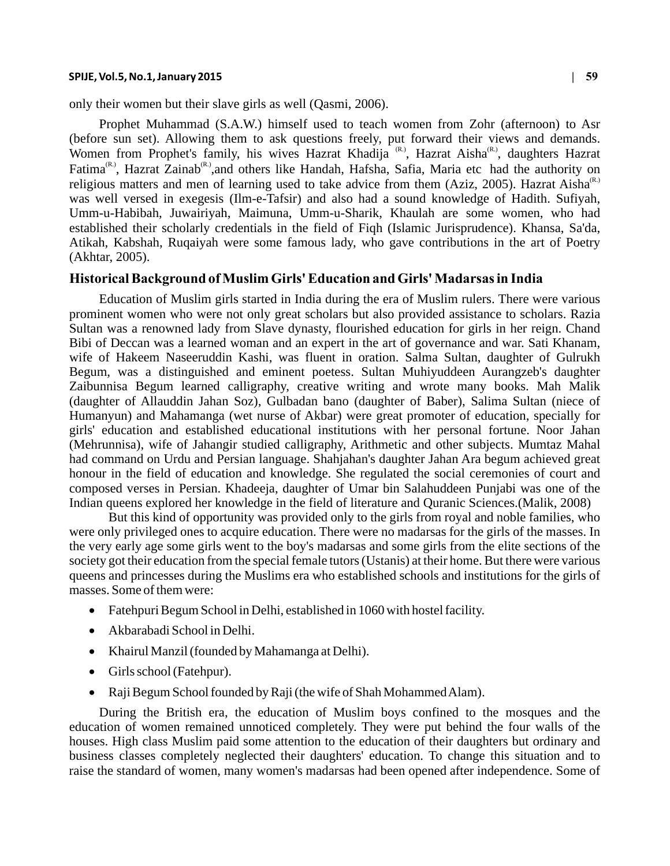#### **SPIJE, Vol.5, No.1, January 2015 | 59**

only their women but their slave girls as well (Qasmi, 2006).

Prophet Muhammad (S.A.W.) himself used to teach women from Zohr (afternoon) to Asr (before sun set). Allowing them to ask questions freely, put forward their views and demands. Women from Prophet's family, his wives Hazrat Khadija (R), Hazrat Aisha , daughters Hazrat  $Fatima^{(R)}$ , Hazrat Zainab<sup>(R)</sup>, and others like Handah, Hafsha, Safia, Maria etc had the authority on religious matters and men of learning used to take advice from them (Aziz, 2005). Hazrat Aisha<sup>(R.)</sup> was well versed in exegesis (Ilm-e-Tafsir) and also had a sound knowledge of Hadith. Sufiyah, Umm-u-Habibah, Juwairiyah, Maimuna, Umm-u-Sharik, Khaulah are some women, who had established their scholarly credentials in the field of Fiqh (Islamic Jurisprudence). Khansa, Sa'da, Atikah, Kabshah, Ruqaiyah were some famous lady, who gave contributions in the art of Poetry (Akhtar, 2005).

## **Historical Background of Muslim Girls' Education and Girls' Madarsas in India**

Education of Muslim girls started in India during the era of Muslim rulers. There were various prominent women who were not only great scholars but also provided assistance to scholars. Razia Sultan was a renowned lady from Slave dynasty, flourished education for girls in her reign. Chand Bibi of Deccan was a learned woman and an expert in the art of governance and war. Sati Khanam, wife of Hakeem Naseeruddin Kashi, was fluent in oration. Salma Sultan, daughter of Gulrukh Begum, was a distinguished and eminent poetess. Sultan Muhiyuddeen Aurangzeb's daughter Zaibunnisa Begum learned calligraphy, creative writing and wrote many books. Mah Malik (daughter of Allauddin Jahan Soz), Gulbadan bano (daughter of Baber), Salima Sultan (niece of Humanyun) and Mahamanga (wet nurse of Akbar) were great promoter of education, specially for girls' education and established educational institutions with her personal fortune. Noor Jahan (Mehrunnisa), wife of Jahangir studied calligraphy, Arithmetic and other subjects. Mumtaz Mahal had command on Urdu and Persian language. Shahjahan's daughter Jahan Ara begum achieved great honour in the field of education and knowledge. She regulated the social ceremonies of court and composed verses in Persian. Khadeeja, daughter of Umar bin Salahuddeen Punjabi was one of the Indian queens explored her knowledge in the field of literature and Quranic Sciences.(Malik, 2008)

But this kind of opportunity was provided only to the girls from royal and noble families, who were only privileged ones to acquire education. There were no madarsas for the girls of the masses. In the very early age some girls went to the boy's madarsas and some girls from the elite sections of the society got their education from the special female tutors (Ustanis) at their home. But there were various queens and princesses during the Muslims era who established schools and institutions for the girls of masses. Some of them were:

- Fatehpuri Begum School in Delhi, established in 1060 with hostel facility.
- Akbarabadi School in Delhi.
- Khairul Manzil (founded by Mahamanga at Delhi).
- Girls school (Fatehpur).
- Raji Begum School founded by Raji (the wife of Shah Mohammed Alam).

During the British era, the education of Muslim boys confined to the mosques and the education of women remained unnoticed completely. They were put behind the four walls of the houses. High class Muslim paid some attention to the education of their daughters but ordinary and business classes completely neglected their daughters' education. To change this situation and to raise the standard of women, many women's madarsas had been opened after independence. Some of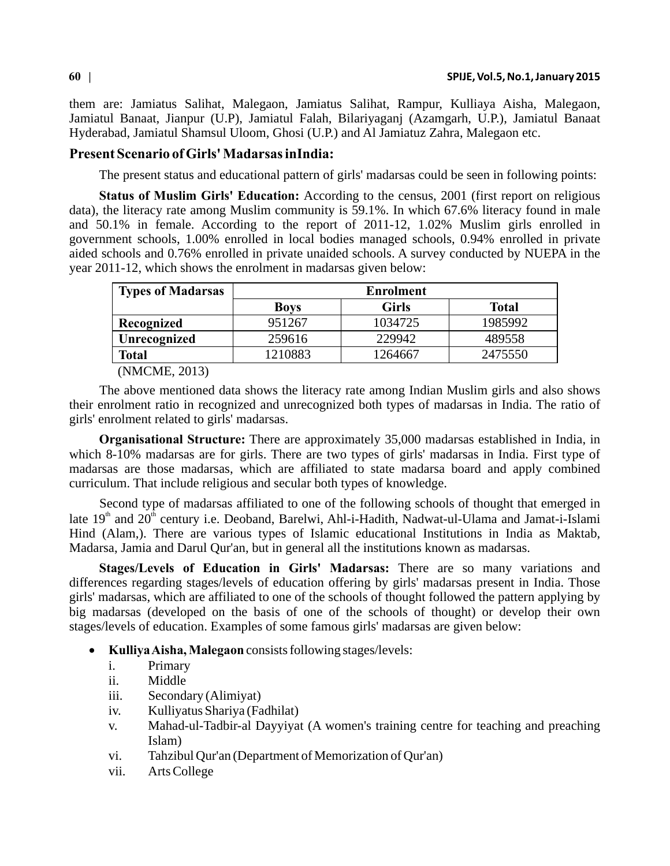them are: Jamiatus Salihat, Malegaon, Jamiatus Salihat, Rampur, Kulliaya Aisha, Malegaon, Jamiatul Banaat, Jianpur (U.P), Jamiatul Falah, Bilariyaganj (Azamgarh, U.P.), Jamiatul Banaat Hyderabad, Jamiatul Shamsul Uloom, Ghosi (U.P.) and Al Jamiatuz Zahra, Malegaon etc.

### **Present Scenario of Girls' Madarsas inIndia:**

The present status and educational pattern of girls' madarsas could be seen in following points:

**Status of Muslim Girls' Education:** According to the census, 2001 (first report on religious data), the literacy rate among Muslim community is 59.1%. In which 67.6% literacy found in male and 50.1% in female. According to the report of 2011-12, 1.02% Muslim girls enrolled in government schools, 1.00% enrolled in local bodies managed schools, 0.94% enrolled in private aided schools and 0.76% enrolled in private unaided schools. A survey conducted by NUEPA in the year 2011-12, which shows the enrolment in madarsas given below:

| <b>Types of Madarsas</b>      | <b>Enrolment</b> |              |              |
|-------------------------------|------------------|--------------|--------------|
|                               | <b>Boys</b>      | <b>Girls</b> | <b>Total</b> |
| Recognized                    | 951267           | 1034725      | 1985992      |
| Unrecognized                  | 259616           | 229942       | 489558       |
| Total                         | 1210883          | 1264667      | 2475550      |
| $(1)$ $(1)$ $(0)$ $(1)$ $(0)$ |                  |              |              |

(NMCME, 2013)

The above mentioned data shows the literacy rate among Indian Muslim girls and also shows their enrolment ratio in recognized and unrecognized both types of madarsas in India. The ratio of girls' enrolment related to girls' madarsas.

**Organisational Structure:** There are approximately 35,000 madarsas established in India, in which 8-10% madarsas are for girls. There are two types of girls' madarsas in India. First type of madarsas are those madarsas, which are affiliated to state madarsa board and apply combined curriculum. That include religious and secular both types of knowledge.

Second type of madarsas affiliated to one of the following schools of thought that emerged in late  $19<sup>th</sup>$  and  $20<sup>th</sup>$  century i.e. Deoband, Barelwi, Ahl-i-Hadith, Nadwat-ul-Ulama and Jamat-i-Islami Hind (Alam,). There are various types of Islamic educational Institutions in India as Maktab, Madarsa, Jamia and Darul Qur'an, but in general all the institutions known as madarsas.

**Stages/Levels of Education in Girls' Madarsas:** There are so many variations and differences regarding stages/levels of education offering by girls' madarsas present in India. Those girls' madarsas, which are affiliated to one of the schools of thought followed the pattern applying by big madarsas (developed on the basis of one of the schools of thought) or develop their own stages/levels of education. Examples of some famous girls' madarsas are given below:

- **Kulliya Aisha, Malegaon** consists following stages/levels:
	- i. Primary
	- ii. Middle
	- iii. Secondary (Alimiyat)
	- iv. Kulliyatus Shariya (Fadhilat)
	- v. Mahad-ul-Tadbir-al Dayyiyat (A women's training centre for teaching and preaching Islam)
	- vi. Tahzibul Qur'an (Department of Memorization of Qur'an)
	- vii. Arts College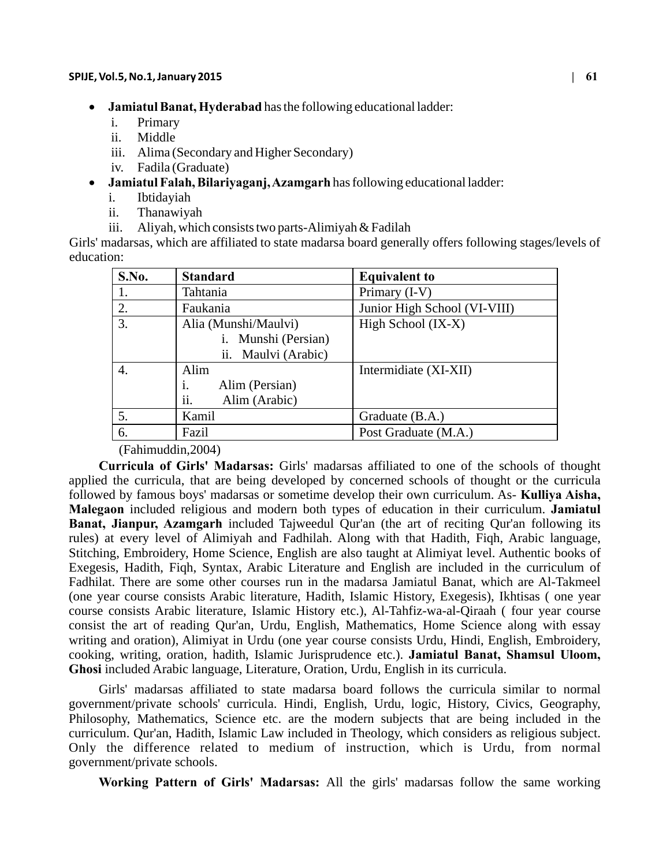- **Jamiatul Banat, Hyderabad** has the following educational ladder:
	- i. Primary
	- ii. Middle
	- iii. Alima (Secondary and Higher Secondary)
	- iv. Fadila (Graduate)
- **Jamiatul Falah, Bilariyaganj, Azamgarh** has following educational ladder:
	- i. Ibtidayiah
	- ii. Thanawiyah
	- iii. Aliyah, which consists two parts-Alimiyah & Fadilah

Girls' madarsas, which are affiliated to state madarsa board generally offers following stages/levels of education:

| S.No. | <b>Standard</b>                                                       | <b>Equivalent to</b>         |
|-------|-----------------------------------------------------------------------|------------------------------|
| 1.    | Tahtania                                                              | Primary (I-V)                |
| 2.    | Faukania                                                              | Junior High School (VI-VIII) |
| 3.    | Alia (Munshi/Maulvi)<br>Munshi (Persian)<br>i.<br>ii. Maulvi (Arabic) | High School (IX-X)           |
| 4.    | Alim<br>Alim (Persian)<br>1.<br>ii.<br>Alim (Arabic)                  | Intermidiate (XI-XII)        |
| 5.    | Kamil                                                                 | Graduate (B.A.)              |
| 6.    | Fazil                                                                 | Post Graduate (M.A.)         |

#### (Fahimuddin,2004)

**Curricula of Girls' Madarsas:** Girls' madarsas affiliated to one of the schools of thought applied the curricula, that are being developed by concerned schools of thought or the curricula followed by famous boys' madarsas or sometime develop their own curriculum. As- **Kulliya Aisha, Malegaon** included religious and modern both types of education in their curriculum. **Jamiatul Banat, Jianpur, Azamgarh** included Tajweedul Qur'an (the art of reciting Qur'an following its rules) at every level of Alimiyah and Fadhilah. Along with that Hadith, Fiqh, Arabic language, Stitching, Embroidery, Home Science, English are also taught at Alimiyat level. Authentic books of Exegesis, Hadith, Fiqh, Syntax, Arabic Literature and English are included in the curriculum of Fadhilat. There are some other courses run in the madarsa Jamiatul Banat, which are Al-Takmeel (one year course consists Arabic literature, Hadith, Islamic History, Exegesis), Ikhtisas ( one year course consists Arabic literature, Islamic History etc.), Al-Tahfiz-wa-al-Qiraah ( four year course consist the art of reading Qur'an, Urdu, English, Mathematics, Home Science along with essay writing and oration), Alimiyat in Urdu (one year course consists Urdu, Hindi, English, Embroidery, cooking, writing, oration, hadith, Islamic Jurisprudence etc.). **Jamiatul Banat, Shamsul Uloom, Ghosi** included Arabic language, Literature, Oration, Urdu, English in its curricula.

Girls' madarsas affiliated to state madarsa board follows the curricula similar to normal government/private schools' curricula. Hindi, English, Urdu, logic, History, Civics, Geography, Philosophy, Mathematics, Science etc. are the modern subjects that are being included in the curriculum. Qur'an, Hadith, Islamic Law included in Theology, which considers as religious subject. Only the difference related to medium of instruction, which is Urdu, from normal government/private schools.

**Working Pattern of Girls' Madarsas:** All the girls' madarsas follow the same working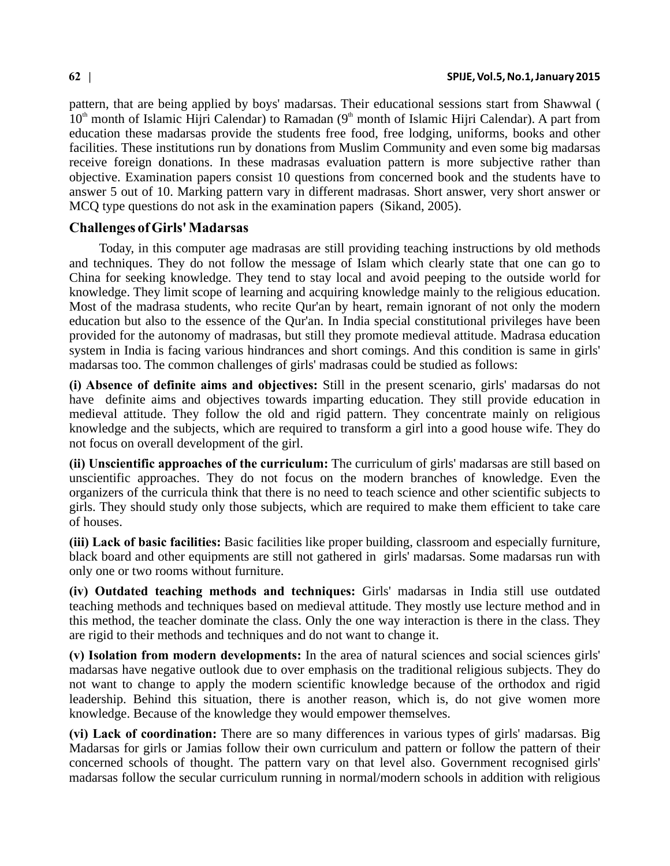pattern, that are being applied by boys' madarsas. Their educational sessions start from Shawwal (  $10<sup>th</sup>$  month of Islamic Hijri Calendar). A part from education these madarsas provide the students free food, free lodging, uniforms, books and other facilities. These institutions run by donations from Muslim Community and even some big madarsas receive foreign donations. In these madrasas evaluation pattern is more subjective rather than objective. Examination papers consist 10 questions from concerned book and the students have to answer 5 out of 10. Marking pattern vary in different madrasas. Short answer, very short answer or MCQ type questions do not ask in the examination papers (Sikand, 2005).

## **Challenges of Girls' Madarsas**

Today, in this computer age madrasas are still providing teaching instructions by old methods and techniques. They do not follow the message of Islam which clearly state that one can go to China for seeking knowledge. They tend to stay local and avoid peeping to the outside world for knowledge. They limit scope of learning and acquiring knowledge mainly to the religious education. Most of the madrasa students, who recite Qur'an by heart, remain ignorant of not only the modern education but also to the essence of the Qur'an. In India special constitutional privileges have been provided for the autonomy of madrasas, but still they promote medieval attitude. Madrasa education system in India is facing various hindrances and short comings. And this condition is same in girls' madarsas too. The common challenges of girls' madrasas could be studied as follows:

**(i) Absence of definite aims and objectives:** Still in the present scenario, girls' madarsas do not have definite aims and objectives towards imparting education. They still provide education in medieval attitude. They follow the old and rigid pattern. They concentrate mainly on religious knowledge and the subjects, which are required to transform a girl into a good house wife. They do not focus on overall development of the girl.

**(ii) Unscientific approaches of the curriculum:** The curriculum of girls' madarsas are still based on unscientific approaches. They do not focus on the modern branches of knowledge. Even the organizers of the curricula think that there is no need to teach science and other scientific subjects to girls. They should study only those subjects, which are required to make them efficient to take care of houses.

**(iii) Lack of basic facilities:** Basic facilities like proper building, classroom and especially furniture, black board and other equipments are still not gathered in girls' madarsas. Some madarsas run with only one or two rooms without furniture.

**(iv) Outdated teaching methods and techniques:** Girls' madarsas in India still use outdated teaching methods and techniques based on medieval attitude. They mostly use lecture method and in this method, the teacher dominate the class. Only the one way interaction is there in the class. They are rigid to their methods and techniques and do not want to change it.

**(v) Isolation from modern developments:** In the area of natural sciences and social sciences girls' madarsas have negative outlook due to over emphasis on the traditional religious subjects. They do not want to change to apply the modern scientific knowledge because of the orthodox and rigid leadership. Behind this situation, there is another reason, which is, do not give women more knowledge. Because of the knowledge they would empower themselves.

**(vi) Lack of coordination:** There are so many differences in various types of girls' madarsas. Big Madarsas for girls or Jamias follow their own curriculum and pattern or follow the pattern of their concerned schools of thought. The pattern vary on that level also. Government recognised girls' madarsas follow the secular curriculum running in normal/modern schools in addition with religious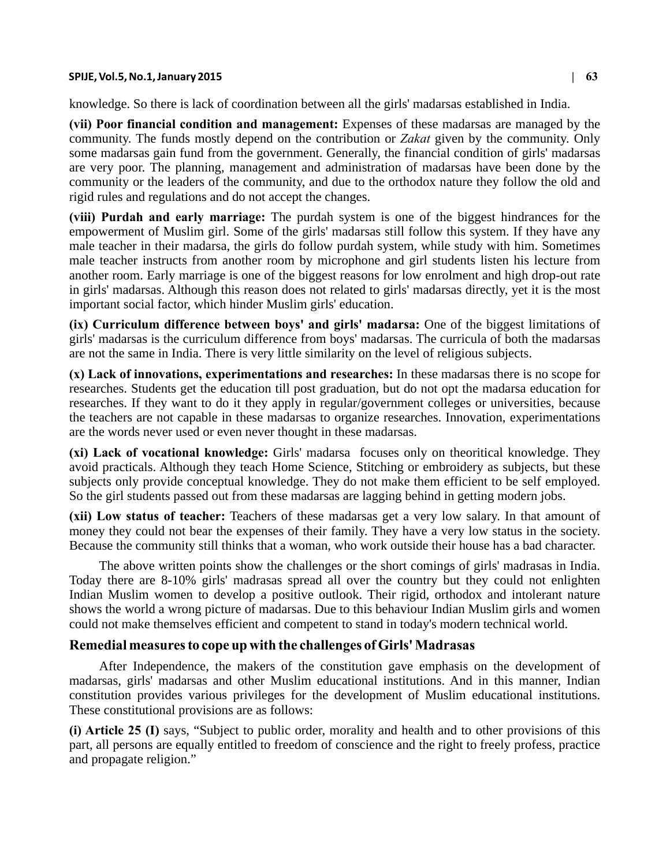#### **SPIJE, Vol.5, No.1, January 2015 | 63**

knowledge. So there is lack of coordination between all the girls' madarsas established in India.

**(vii) Poor financial condition and management:** Expenses of these madarsas are managed by the community. The funds mostly depend on the contribution or *Zakat* given by the community. Only some madarsas gain fund from the government. Generally, the financial condition of girls' madarsas are very poor. The planning, management and administration of madarsas have been done by the community or the leaders of the community, and due to the orthodox nature they follow the old and rigid rules and regulations and do not accept the changes.

**(viii) Purdah and early marriage:** The purdah system is one of the biggest hindrances for the empowerment of Muslim girl. Some of the girls' madarsas still follow this system. If they have any male teacher in their madarsa, the girls do follow purdah system, while study with him. Sometimes male teacher instructs from another room by microphone and girl students listen his lecture from another room. Early marriage is one of the biggest reasons for low enrolment and high drop-out rate in girls' madarsas. Although this reason does not related to girls' madarsas directly, yet it is the most important social factor, which hinder Muslim girls' education.

**(ix) Curriculum difference between boys' and girls' madarsa:** One of the biggest limitations of girls' madarsas is the curriculum difference from boys' madarsas. The curricula of both the madarsas are not the same in India. There is very little similarity on the level of religious subjects.

**(x) Lack of innovations, experimentations and researches:** In these madarsas there is no scope for researches. Students get the education till post graduation, but do not opt the madarsa education for researches. If they want to do it they apply in regular/government colleges or universities, because the teachers are not capable in these madarsas to organize researches. Innovation, experimentations are the words never used or even never thought in these madarsas.

**(xi) Lack of vocational knowledge:** Girls' madarsa focuses only on theoritical knowledge. They avoid practicals. Although they teach Home Science, Stitching or embroidery as subjects, but these subjects only provide conceptual knowledge. They do not make them efficient to be self employed. So the girl students passed out from these madarsas are lagging behind in getting modern jobs.

**(xii) Low status of teacher:** Teachers of these madarsas get a very low salary. In that amount of money they could not bear the expenses of their family. They have a very low status in the society. Because the community still thinks that a woman, who work outside their house has a bad character.

The above written points show the challenges or the short comings of girls' madrasas in India. Today there are 8-10% girls' madrasas spread all over the country but they could not enlighten Indian Muslim women to develop a positive outlook. Their rigid, orthodox and intolerant nature shows the world a wrong picture of madarsas. Due to this behaviour Indian Muslim girls and women could not make themselves efficient and competent to stand in today's modern technical world.

#### **Remedial measures to cope up with the challenges of Girls' Madrasas**

After Independence, the makers of the constitution gave emphasis on the development of madarsas, girls' madarsas and other Muslim educational institutions. And in this manner, Indian constitution provides various privileges for the development of Muslim educational institutions. These constitutional provisions are as follows:

**(i) Article 25 (I)** says, "Subject to public order, morality and health and to other provisions of this part, all persons are equally entitled to freedom of conscience and the right to freely profess, practice and propagate religion."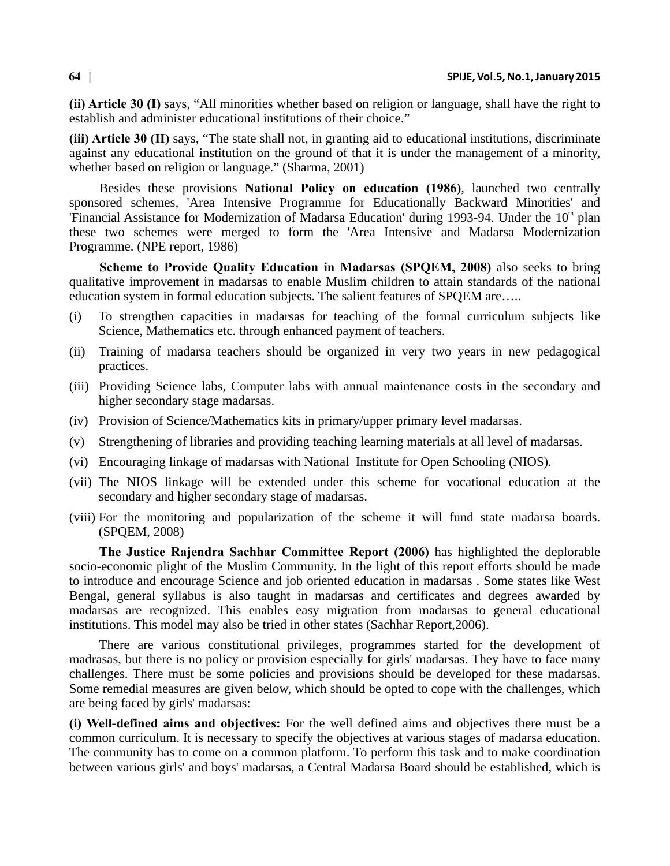**(ii) Article 30 (I)** says, "All minorities whether based on religion or language, shall have the right to establish and administer educational institutions of their choice."

**(iii) Article 30 (II)** says, "The state shall not, in granting aid to educational institutions, discriminate against any educational institution on the ground of that it is under the management of a minority, whether based on religion or language." (Sharma, 2001)

Besides these provisions **National Policy on education (1986)**, launched two centrally sponsored schemes, 'Area Intensive Programme for Educationally Backward Minorities' and 'Financial Assistance for Modernization of Madarsa Education' during 1993-94. Under the 10<sup>th</sup> plan these two schemes were merged to form the 'Area Intensive and Madarsa Modernization Programme. (NPE report, 1986)

**Scheme to Provide Quality Education in Madarsas (SPQEM, 2008)** also seeks to bring qualitative improvement in madarsas to enable Muslim children to attain standards of the national education system in formal education subjects. The salient features of SPQEM are…..

- (i) To strengthen capacities in madarsas for teaching of the formal curriculum subjects like Science, Mathematics etc. through enhanced payment of teachers.
- (ii) Training of madarsa teachers should be organized in very two years in new pedagogical practices.
- (iii) Providing Science labs, Computer labs with annual maintenance costs in the secondary and higher secondary stage madarsas.
- (iv) Provision of Science/Mathematics kits in primary/upper primary level madarsas.
- (v) Strengthening of libraries and providing teaching learning materials at all level of madarsas.
- (vi) Encouraging linkage of madarsas with National Institute for Open Schooling (NIOS).
- (vii) The NIOS linkage will be extended under this scheme for vocational education at the secondary and higher secondary stage of madarsas.
- (viii) For the monitoring and popularization of the scheme it will fund state madarsa boards. (SPQEM, 2008)

**The Justice Rajendra Sachhar Committee Report (2006)** has highlighted the deplorable socio-economic plight of the Muslim Community. In the light of this report efforts should be made to introduce and encourage Science and job oriented education in madarsas . Some states like West Bengal, general syllabus is also taught in madarsas and certificates and degrees awarded by madarsas are recognized. This enables easy migration from madarsas to general educational institutions. This model may also be tried in other states (Sachhar Report,2006).

There are various constitutional privileges, programmes started for the development of madrasas, but there is no policy or provision especially for girls' madarsas. They have to face many challenges. There must be some policies and provisions should be developed for these madarsas. Some remedial measures are given below, which should be opted to cope with the challenges, which are being faced by girls' madarsas:

**(i) Well-defined aims and objectives:** For the well defined aims and objectives there must be a common curriculum. It is necessary to specify the objectives at various stages of madarsa education. The community has to come on a common platform. To perform this task and to make coordination between various girls' and boys' madarsas, a Central Madarsa Board should be established, which is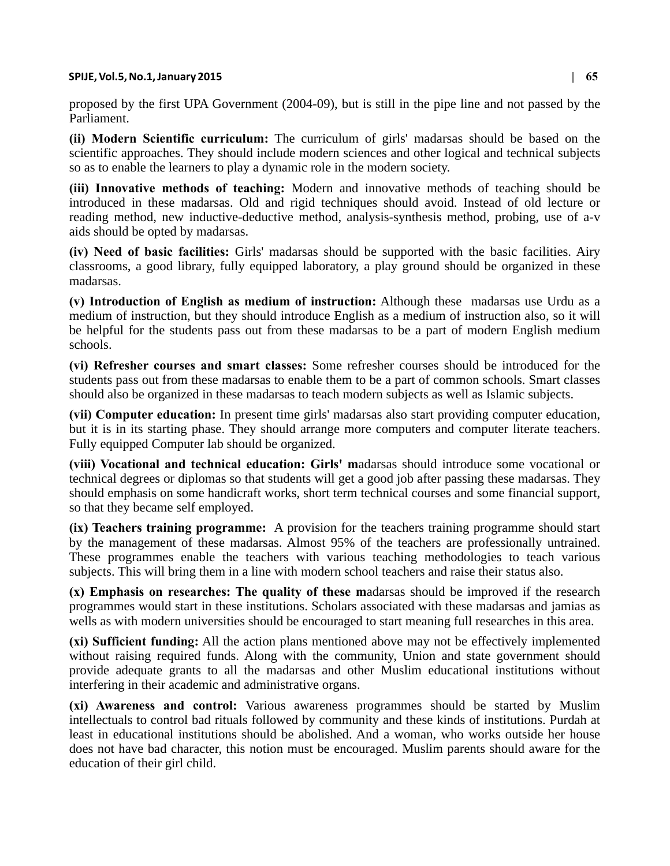#### **SPIJE, Vol.5, No.1, January 2015 | 65**

proposed by the first UPA Government (2004-09), but is still in the pipe line and not passed by the Parliament.

**(ii) Modern Scientific curriculum:** The curriculum of girls' madarsas should be based on the scientific approaches. They should include modern sciences and other logical and technical subjects so as to enable the learners to play a dynamic role in the modern society.

**(iii) Innovative methods of teaching:** Modern and innovative methods of teaching should be introduced in these madarsas. Old and rigid techniques should avoid. Instead of old lecture or reading method, new inductive-deductive method, analysis-synthesis method, probing, use of a-v aids should be opted by madarsas.

**(iv) Need of basic facilities:** Girls' madarsas should be supported with the basic facilities. Airy classrooms, a good library, fully equipped laboratory, a play ground should be organized in these madarsas.

**(v) Introduction of English as medium of instruction:** Although these madarsas use Urdu as a medium of instruction, but they should introduce English as a medium of instruction also, so it will be helpful for the students pass out from these madarsas to be a part of modern English medium schools.

**(vi) Refresher courses and smart classes:** Some refresher courses should be introduced for the students pass out from these madarsas to enable them to be a part of common schools. Smart classes should also be organized in these madarsas to teach modern subjects as well as Islamic subjects.

**(vii) Computer education:** In present time girls' madarsas also start providing computer education, but it is in its starting phase. They should arrange more computers and computer literate teachers. Fully equipped Computer lab should be organized.

**(viii) Vocational and technical education: Girls' m**adarsas should introduce some vocational or technical degrees or diplomas so that students will get a good job after passing these madarsas. They should emphasis on some handicraft works, short term technical courses and some financial support, so that they became self employed.

**(ix) Teachers training programme:** A provision for the teachers training programme should start by the management of these madarsas. Almost 95% of the teachers are professionally untrained. These programmes enable the teachers with various teaching methodologies to teach various subjects. This will bring them in a line with modern school teachers and raise their status also.

**(x) Emphasis on researches: The quality of these m**adarsas should be improved if the research programmes would start in these institutions. Scholars associated with these madarsas and jamias as wells as with modern universities should be encouraged to start meaning full researches in this area.

**(xi) Sufficient funding:** All the action plans mentioned above may not be effectively implemented without raising required funds. Along with the community, Union and state government should provide adequate grants to all the madarsas and other Muslim educational institutions without interfering in their academic and administrative organs.

**(xi) Awareness and control:** Various awareness programmes should be started by Muslim intellectuals to control bad rituals followed by community and these kinds of institutions. Purdah at least in educational institutions should be abolished. And a woman, who works outside her house does not have bad character, this notion must be encouraged. Muslim parents should aware for the education of their girl child.